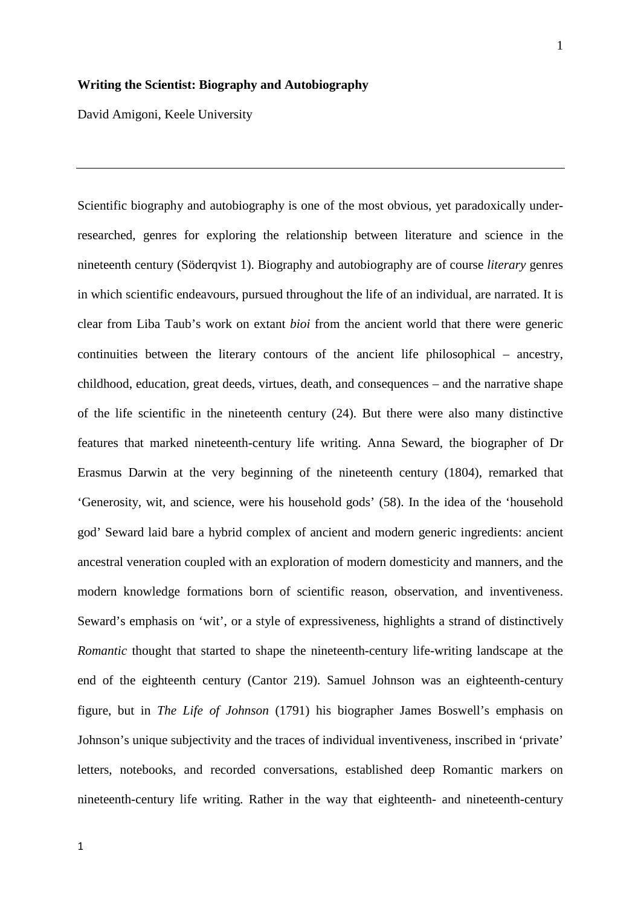#### **Writing the Scientist: Biography and Autobiography**

David Amigoni, Keele University

Scientific biography and autobiography is one of the most obvious, yet paradoxically underresearched, genres for exploring the relationship between literature and science in the nineteenth century (Söderqvist 1). Biography and autobiography are of course *literary* genres in which scientific endeavours, pursued throughout the life of an individual, are narrated. It is clear from Liba Taub's work on extant *bioi* from the ancient world that there were generic continuities between the literary contours of the ancient life philosophical – ancestry, childhood, education, great deeds, virtues, death, and consequences – and the narrative shape of the life scientific in the nineteenth century (24). But there were also many distinctive features that marked nineteenth-century life writing. Anna Seward, the biographer of Dr Erasmus Darwin at the very beginning of the nineteenth century (1804), remarked that 'Generosity, wit, and science, were his household gods' (58). In the idea of the 'household god' Seward laid bare a hybrid complex of ancient and modern generic ingredients: ancient ancestral veneration coupled with an exploration of modern domesticity and manners, and the modern knowledge formations born of scientific reason, observation, and inventiveness. Seward's emphasis on 'wit', or a style of expressiveness, highlights a strand of distinctively *Romantic* thought that started to shape the nineteenth-century life-writing landscape at the end of the eighteenth century (Cantor 219). Samuel Johnson was an eighteenth-century figure, but in *The Life of Johnson* (1791) his biographer James Boswell's emphasis on Johnson's unique subjectivity and the traces of individual inventiveness, inscribed in 'private' letters, notebooks, and recorded conversations, established deep Romantic markers on nineteenth-century life writing. Rather in the way that eighteenth- and nineteenth-century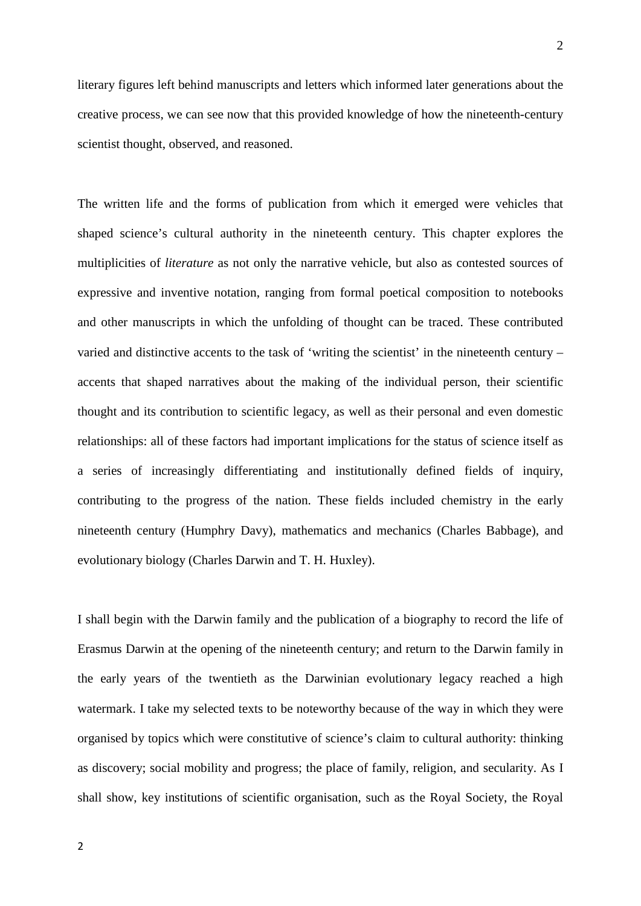literary figures left behind manuscripts and letters which informed later generations about the creative process, we can see now that this provided knowledge of how the nineteenth-century scientist thought, observed, and reasoned.

The written life and the forms of publication from which it emerged were vehicles that shaped science's cultural authority in the nineteenth century. This chapter explores the multiplicities of *literature* as not only the narrative vehicle, but also as contested sources of expressive and inventive notation, ranging from formal poetical composition to notebooks and other manuscripts in which the unfolding of thought can be traced. These contributed varied and distinctive accents to the task of 'writing the scientist' in the nineteenth century – accents that shaped narratives about the making of the individual person, their scientific thought and its contribution to scientific legacy, as well as their personal and even domestic relationships: all of these factors had important implications for the status of science itself as a series of increasingly differentiating and institutionally defined fields of inquiry, contributing to the progress of the nation. These fields included chemistry in the early nineteenth century (Humphry Davy), mathematics and mechanics (Charles Babbage), and evolutionary biology (Charles Darwin and T. H. Huxley).

I shall begin with the Darwin family and the publication of a biography to record the life of Erasmus Darwin at the opening of the nineteenth century; and return to the Darwin family in the early years of the twentieth as the Darwinian evolutionary legacy reached a high watermark. I take my selected texts to be noteworthy because of the way in which they were organised by topics which were constitutive of science's claim to cultural authority: thinking as discovery; social mobility and progress; the place of family, religion, and secularity. As I shall show, key institutions of scientific organisation, such as the Royal Society, the Royal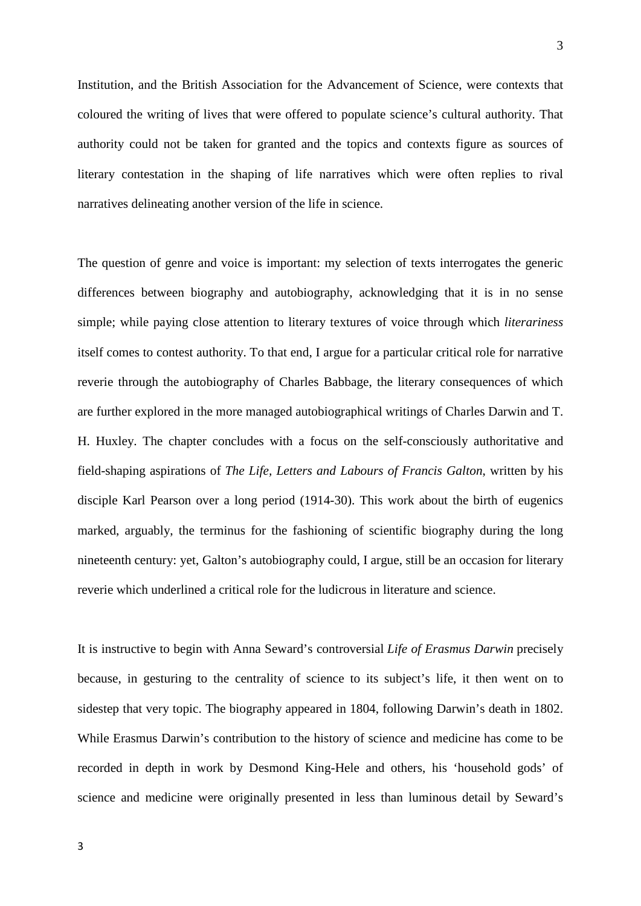Institution, and the British Association for the Advancement of Science, were contexts that coloured the writing of lives that were offered to populate science's cultural authority. That authority could not be taken for granted and the topics and contexts figure as sources of literary contestation in the shaping of life narratives which were often replies to rival narratives delineating another version of the life in science.

The question of genre and voice is important: my selection of texts interrogates the generic differences between biography and autobiography, acknowledging that it is in no sense simple; while paying close attention to literary textures of voice through which *literariness* itself comes to contest authority. To that end, I argue for a particular critical role for narrative reverie through the autobiography of Charles Babbage, the literary consequences of which are further explored in the more managed autobiographical writings of Charles Darwin and T. H. Huxley. The chapter concludes with a focus on the self-consciously authoritative and field-shaping aspirations of *The Life, Letters and Labours of Francis Galton*, written by his disciple Karl Pearson over a long period (1914-30). This work about the birth of eugenics marked, arguably, the terminus for the fashioning of scientific biography during the long nineteenth century: yet, Galton's autobiography could, I argue, still be an occasion for literary reverie which underlined a critical role for the ludicrous in literature and science.

It is instructive to begin with Anna Seward's controversial *Life of Erasmus Darwin* precisely because, in gesturing to the centrality of science to its subject's life, it then went on to sidestep that very topic. The biography appeared in 1804, following Darwin's death in 1802. While Erasmus Darwin's contribution to the history of science and medicine has come to be recorded in depth in work by Desmond King-Hele and others, his 'household gods' of science and medicine were originally presented in less than luminous detail by Seward's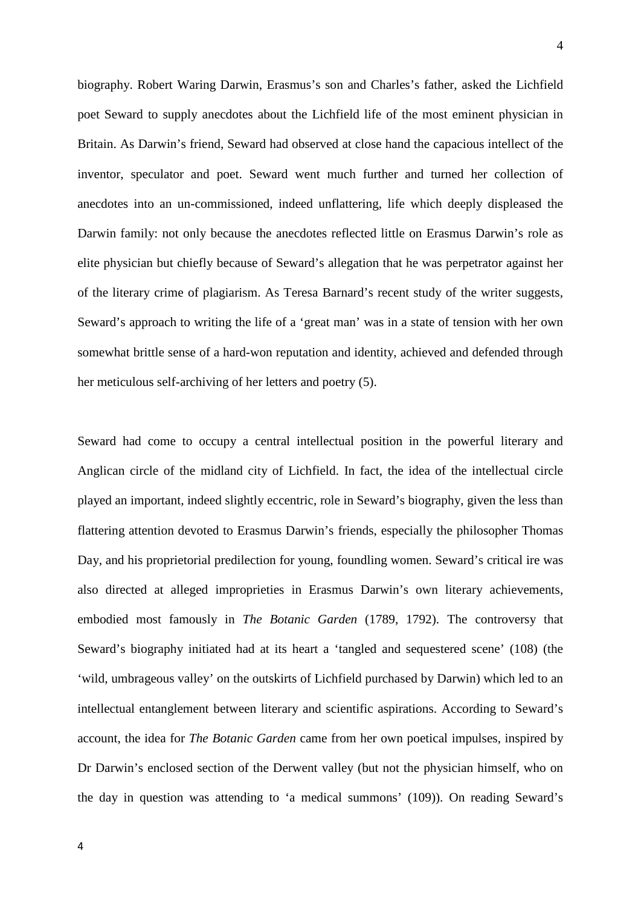biography. Robert Waring Darwin, Erasmus's son and Charles's father, asked the Lichfield poet Seward to supply anecdotes about the Lichfield life of the most eminent physician in Britain. As Darwin's friend, Seward had observed at close hand the capacious intellect of the inventor, speculator and poet. Seward went much further and turned her collection of anecdotes into an un-commissioned, indeed unflattering, life which deeply displeased the Darwin family: not only because the anecdotes reflected little on Erasmus Darwin's role as elite physician but chiefly because of Seward's allegation that he was perpetrator against her of the literary crime of plagiarism. As Teresa Barnard's recent study of the writer suggests, Seward's approach to writing the life of a 'great man' was in a state of tension with her own somewhat brittle sense of a hard-won reputation and identity, achieved and defended through her meticulous self-archiving of her letters and poetry (5).

Seward had come to occupy a central intellectual position in the powerful literary and Anglican circle of the midland city of Lichfield. In fact, the idea of the intellectual circle played an important, indeed slightly eccentric, role in Seward's biography, given the less than flattering attention devoted to Erasmus Darwin's friends, especially the philosopher Thomas Day, and his proprietorial predilection for young, foundling women. Seward's critical ire was also directed at alleged improprieties in Erasmus Darwin's own literary achievements, embodied most famously in *The Botanic Garden* (1789, 1792). The controversy that Seward's biography initiated had at its heart a 'tangled and sequestered scene' (108) (the 'wild, umbrageous valley' on the outskirts of Lichfield purchased by Darwin) which led to an intellectual entanglement between literary and scientific aspirations. According to Seward's account, the idea for *The Botanic Garden* came from her own poetical impulses, inspired by Dr Darwin's enclosed section of the Derwent valley (but not the physician himself, who on the day in question was attending to 'a medical summons' (109)). On reading Seward's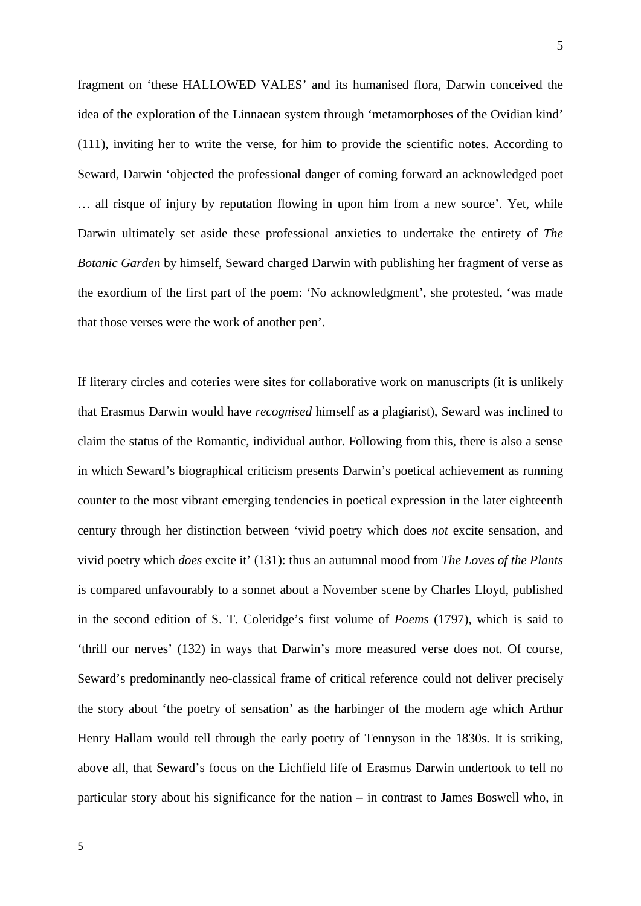fragment on 'these HALLOWED VALES' and its humanised flora, Darwin conceived the idea of the exploration of the Linnaean system through 'metamorphoses of the Ovidian kind' (111), inviting her to write the verse, for him to provide the scientific notes. According to Seward, Darwin 'objected the professional danger of coming forward an acknowledged poet … all risque of injury by reputation flowing in upon him from a new source'. Yet, while Darwin ultimately set aside these professional anxieties to undertake the entirety of *The Botanic Garden* by himself, Seward charged Darwin with publishing her fragment of verse as the exordium of the first part of the poem: 'No acknowledgment', she protested, 'was made that those verses were the work of another pen'.

If literary circles and coteries were sites for collaborative work on manuscripts (it is unlikely that Erasmus Darwin would have *recognised* himself as a plagiarist), Seward was inclined to claim the status of the Romantic, individual author. Following from this, there is also a sense in which Seward's biographical criticism presents Darwin's poetical achievement as running counter to the most vibrant emerging tendencies in poetical expression in the later eighteenth century through her distinction between 'vivid poetry which does *not* excite sensation, and vivid poetry which *does* excite it' (131): thus an autumnal mood from *The Loves of the Plants* is compared unfavourably to a sonnet about a November scene by Charles Lloyd, published in the second edition of S. T. Coleridge's first volume of *Poems* (1797), which is said to 'thrill our nerves' (132) in ways that Darwin's more measured verse does not. Of course, Seward's predominantly neo-classical frame of critical reference could not deliver precisely the story about 'the poetry of sensation' as the harbinger of the modern age which Arthur Henry Hallam would tell through the early poetry of Tennyson in the 1830s. It is striking, above all, that Seward's focus on the Lichfield life of Erasmus Darwin undertook to tell no particular story about his significance for the nation – in contrast to James Boswell who, in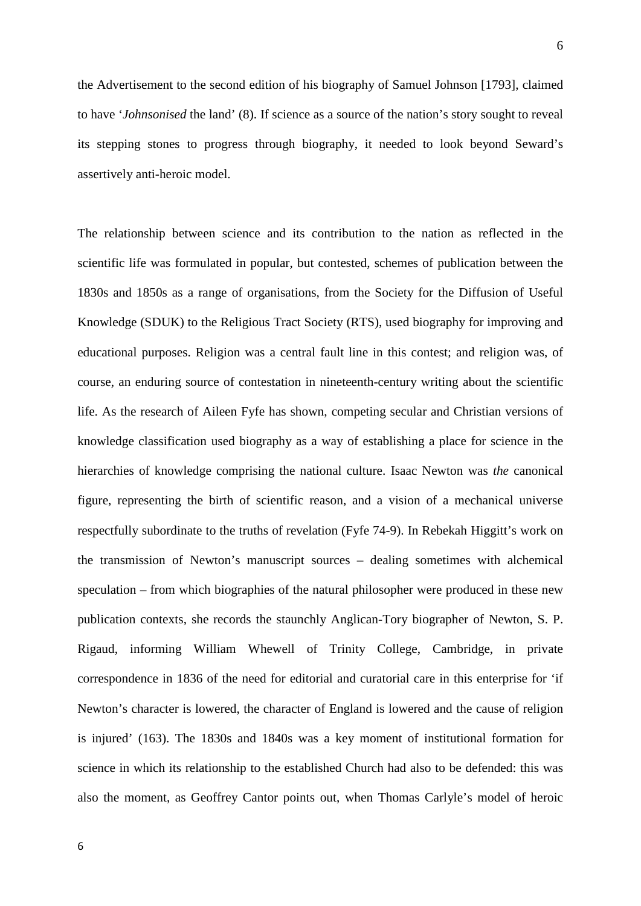the Advertisement to the second edition of his biography of Samuel Johnson [1793], claimed to have '*Johnsonised* the land' (8). If science as a source of the nation's story sought to reveal its stepping stones to progress through biography, it needed to look beyond Seward's assertively anti-heroic model.

The relationship between science and its contribution to the nation as reflected in the scientific life was formulated in popular, but contested, schemes of publication between the 1830s and 1850s as a range of organisations, from the Society for the Diffusion of Useful Knowledge (SDUK) to the Religious Tract Society (RTS), used biography for improving and educational purposes. Religion was a central fault line in this contest; and religion was, of course, an enduring source of contestation in nineteenth-century writing about the scientific life. As the research of Aileen Fyfe has shown, competing secular and Christian versions of knowledge classification used biography as a way of establishing a place for science in the hierarchies of knowledge comprising the national culture. Isaac Newton was *the* canonical figure, representing the birth of scientific reason, and a vision of a mechanical universe respectfully subordinate to the truths of revelation (Fyfe 74-9). In Rebekah Higgitt's work on the transmission of Newton's manuscript sources – dealing sometimes with alchemical speculation – from which biographies of the natural philosopher were produced in these new publication contexts, she records the staunchly Anglican-Tory biographer of Newton, S. P. Rigaud, informing William Whewell of Trinity College, Cambridge, in private correspondence in 1836 of the need for editorial and curatorial care in this enterprise for 'if Newton's character is lowered, the character of England is lowered and the cause of religion is injured' (163). The 1830s and 1840s was a key moment of institutional formation for science in which its relationship to the established Church had also to be defended: this was also the moment, as Geoffrey Cantor points out, when Thomas Carlyle's model of heroic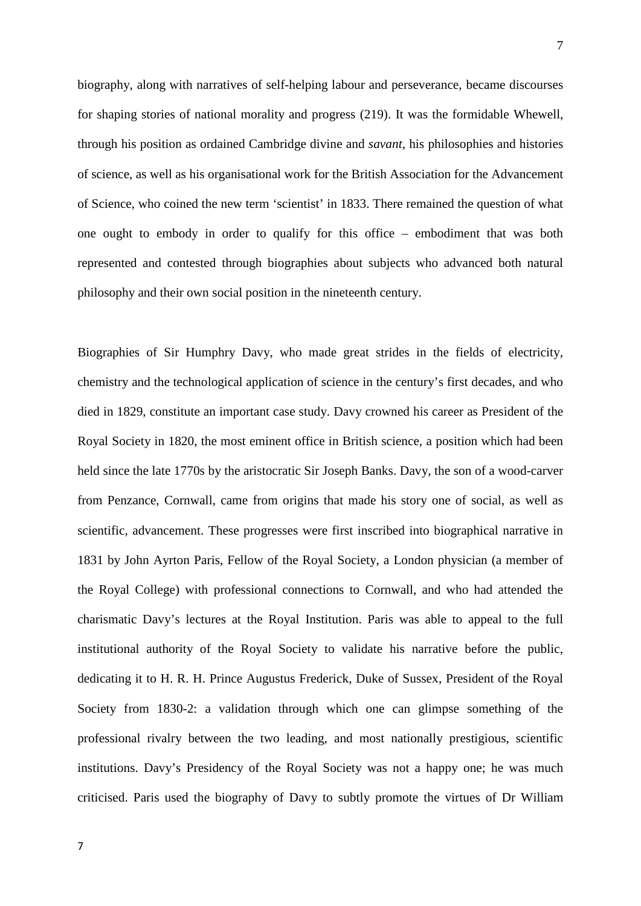biography, along with narratives of self-helping labour and perseverance, became discourses for shaping stories of national morality and progress (219). It was the formidable Whewell, through his position as ordained Cambridge divine and *savant*, his philosophies and histories of science, as well as his organisational work for the British Association for the Advancement of Science, who coined the new term 'scientist' in 1833. There remained the question of what one ought to embody in order to qualify for this office – embodiment that was both represented and contested through biographies about subjects who advanced both natural philosophy and their own social position in the nineteenth century.

Biographies of Sir Humphry Davy, who made great strides in the fields of electricity, chemistry and the technological application of science in the century's first decades, and who died in 1829, constitute an important case study. Davy crowned his career as President of the Royal Society in 1820, the most eminent office in British science, a position which had been held since the late 1770s by the aristocratic Sir Joseph Banks. Davy, the son of a wood-carver from Penzance, Cornwall, came from origins that made his story one of social, as well as scientific, advancement. These progresses were first inscribed into biographical narrative in 1831 by John Ayrton Paris, Fellow of the Royal Society, a London physician (a member of the Royal College) with professional connections to Cornwall, and who had attended the charismatic Davy's lectures at the Royal Institution. Paris was able to appeal to the full institutional authority of the Royal Society to validate his narrative before the public, dedicating it to H. R. H. Prince Augustus Frederick, Duke of Sussex, President of the Royal Society from 1830-2: a validation through which one can glimpse something of the professional rivalry between the two leading, and most nationally prestigious, scientific institutions. Davy's Presidency of the Royal Society was not a happy one; he was much criticised. Paris used the biography of Davy to subtly promote the virtues of Dr William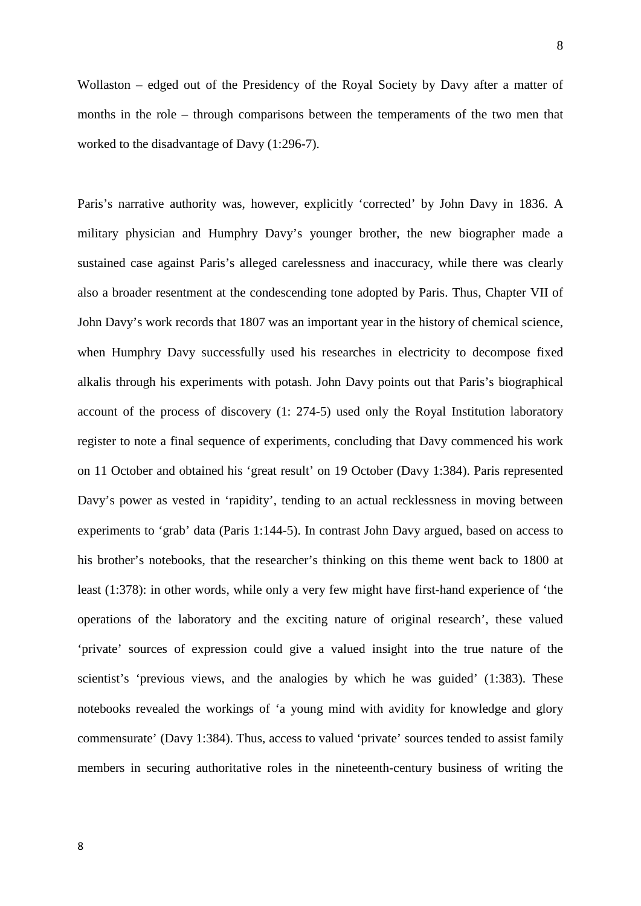Wollaston – edged out of the Presidency of the Royal Society by Davy after a matter of months in the role – through comparisons between the temperaments of the two men that

worked to the disadvantage of Davy (1:296-7).

Paris's narrative authority was, however, explicitly 'corrected' by John Davy in 1836. A military physician and Humphry Davy's younger brother, the new biographer made a sustained case against Paris's alleged carelessness and inaccuracy, while there was clearly also a broader resentment at the condescending tone adopted by Paris. Thus, Chapter VII of John Davy's work records that 1807 was an important year in the history of chemical science, when Humphry Davy successfully used his researches in electricity to decompose fixed alkalis through his experiments with potash. John Davy points out that Paris's biographical account of the process of discovery (1: 274-5) used only the Royal Institution laboratory register to note a final sequence of experiments, concluding that Davy commenced his work on 11 October and obtained his 'great result' on 19 October (Davy 1:384). Paris represented Davy's power as vested in 'rapidity', tending to an actual recklessness in moving between experiments to 'grab' data (Paris 1:144-5). In contrast John Davy argued, based on access to his brother's notebooks, that the researcher's thinking on this theme went back to 1800 at least (1:378): in other words, while only a very few might have first-hand experience of 'the operations of the laboratory and the exciting nature of original research', these valued 'private' sources of expression could give a valued insight into the true nature of the scientist's 'previous views, and the analogies by which he was guided' (1:383). These notebooks revealed the workings of 'a young mind with avidity for knowledge and glory commensurate' (Davy 1:384). Thus, access to valued 'private' sources tended to assist family members in securing authoritative roles in the nineteenth-century business of writing the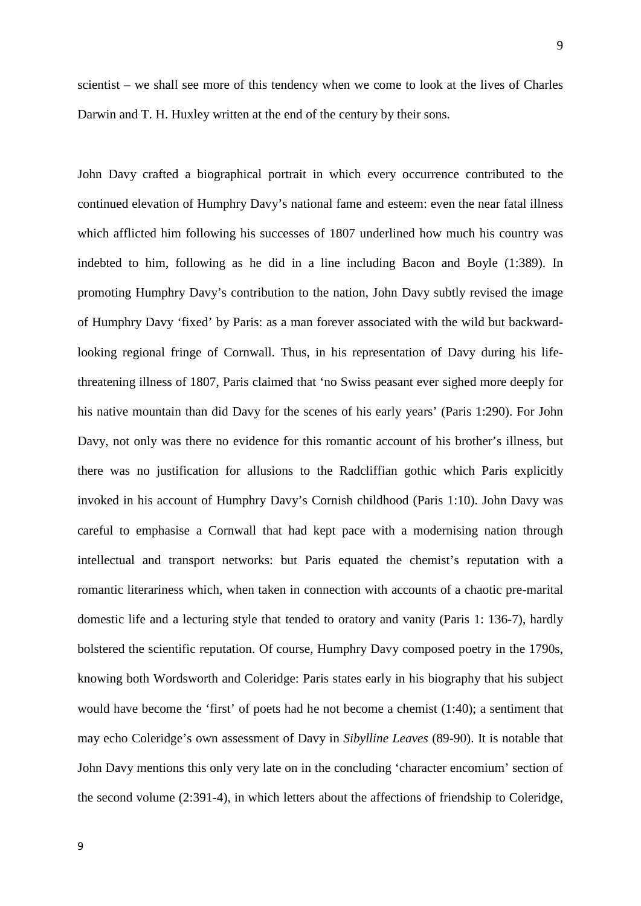9

scientist – we shall see more of this tendency when we come to look at the lives of Charles Darwin and T. H. Huxley written at the end of the century by their sons.

John Davy crafted a biographical portrait in which every occurrence contributed to the continued elevation of Humphry Davy's national fame and esteem: even the near fatal illness which afflicted him following his successes of 1807 underlined how much his country was indebted to him, following as he did in a line including Bacon and Boyle (1:389). In promoting Humphry Davy's contribution to the nation, John Davy subtly revised the image of Humphry Davy 'fixed' by Paris: as a man forever associated with the wild but backwardlooking regional fringe of Cornwall. Thus, in his representation of Davy during his lifethreatening illness of 1807, Paris claimed that 'no Swiss peasant ever sighed more deeply for his native mountain than did Davy for the scenes of his early years' (Paris 1:290). For John Davy, not only was there no evidence for this romantic account of his brother's illness, but there was no justification for allusions to the Radcliffian gothic which Paris explicitly invoked in his account of Humphry Davy's Cornish childhood (Paris 1:10). John Davy was careful to emphasise a Cornwall that had kept pace with a modernising nation through intellectual and transport networks: but Paris equated the chemist's reputation with a romantic literariness which, when taken in connection with accounts of a chaotic pre-marital domestic life and a lecturing style that tended to oratory and vanity (Paris 1: 136-7), hardly bolstered the scientific reputation. Of course, Humphry Davy composed poetry in the 1790s, knowing both Wordsworth and Coleridge: Paris states early in his biography that his subject would have become the 'first' of poets had he not become a chemist (1:40); a sentiment that may echo Coleridge's own assessment of Davy in *Sibylline Leaves* (89-90). It is notable that John Davy mentions this only very late on in the concluding 'character encomium' section of the second volume (2:391-4), in which letters about the affections of friendship to Coleridge,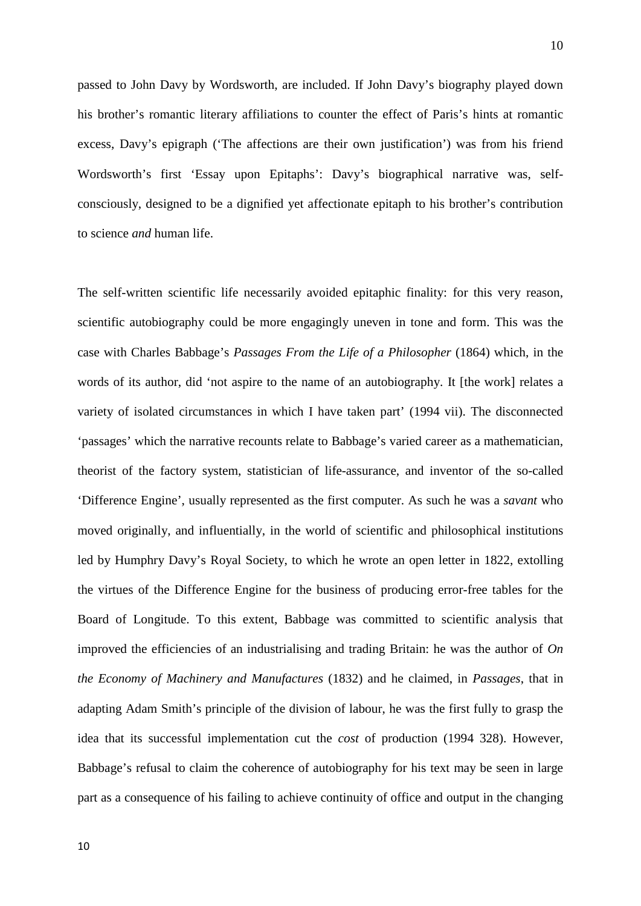passed to John Davy by Wordsworth, are included. If John Davy's biography played down his brother's romantic literary affiliations to counter the effect of Paris's hints at romantic excess, Davy's epigraph ('The affections are their own justification') was from his friend Wordsworth's first 'Essay upon Epitaphs': Davy's biographical narrative was, selfconsciously, designed to be a dignified yet affectionate epitaph to his brother's contribution to science *and* human life.

The self-written scientific life necessarily avoided epitaphic finality: for this very reason, scientific autobiography could be more engagingly uneven in tone and form. This was the case with Charles Babbage's *Passages From the Life of a Philosopher* (1864) which, in the words of its author, did 'not aspire to the name of an autobiography. It [the work] relates a variety of isolated circumstances in which I have taken part' (1994 vii). The disconnected 'passages' which the narrative recounts relate to Babbage's varied career as a mathematician, theorist of the factory system, statistician of life-assurance, and inventor of the so-called 'Difference Engine', usually represented as the first computer. As such he was a *savant* who moved originally, and influentially, in the world of scientific and philosophical institutions led by Humphry Davy's Royal Society, to which he wrote an open letter in 1822, extolling the virtues of the Difference Engine for the business of producing error-free tables for the Board of Longitude. To this extent, Babbage was committed to scientific analysis that improved the efficiencies of an industrialising and trading Britain: he was the author of *On the Economy of Machinery and Manufactures* (1832) and he claimed, in *Passages*, that in adapting Adam Smith's principle of the division of labour, he was the first fully to grasp the idea that its successful implementation cut the *cost* of production (1994 328). However, Babbage's refusal to claim the coherence of autobiography for his text may be seen in large part as a consequence of his failing to achieve continuity of office and output in the changing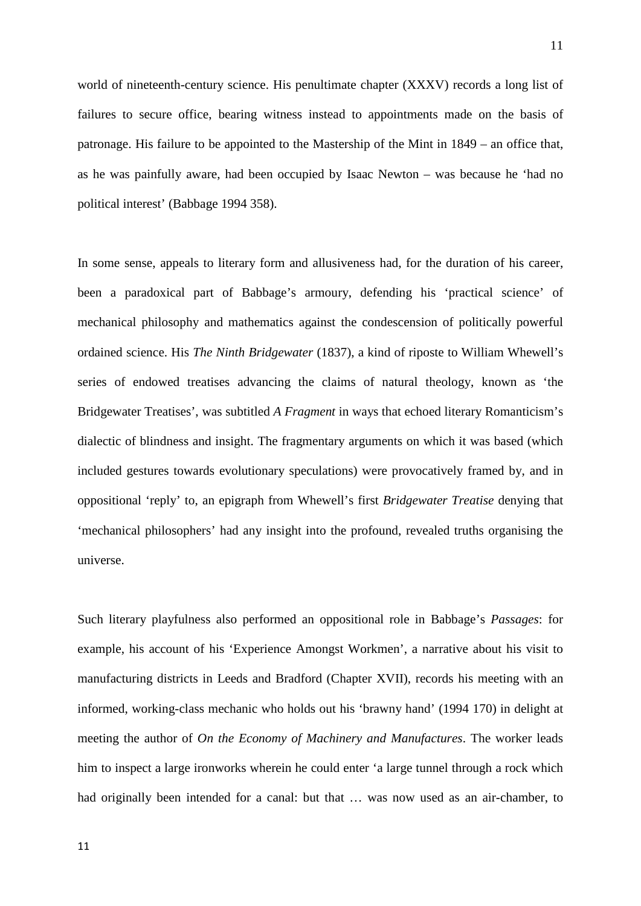world of nineteenth-century science. His penultimate chapter (XXXV) records a long list of failures to secure office, bearing witness instead to appointments made on the basis of patronage. His failure to be appointed to the Mastership of the Mint in 1849 – an office that, as he was painfully aware, had been occupied by Isaac Newton – was because he 'had no political interest' (Babbage 1994 358).

In some sense, appeals to literary form and allusiveness had, for the duration of his career, been a paradoxical part of Babbage's armoury, defending his 'practical science' of mechanical philosophy and mathematics against the condescension of politically powerful ordained science. His *The Ninth Bridgewater* (1837), a kind of riposte to William Whewell's series of endowed treatises advancing the claims of natural theology, known as 'the Bridgewater Treatises', was subtitled *A Fragment* in ways that echoed literary Romanticism's dialectic of blindness and insight. The fragmentary arguments on which it was based (which included gestures towards evolutionary speculations) were provocatively framed by, and in oppositional 'reply' to, an epigraph from Whewell's first *Bridgewater Treatise* denying that 'mechanical philosophers' had any insight into the profound, revealed truths organising the universe.

Such literary playfulness also performed an oppositional role in Babbage's *Passages*: for example, his account of his 'Experience Amongst Workmen', a narrative about his visit to manufacturing districts in Leeds and Bradford (Chapter XVII), records his meeting with an informed, working-class mechanic who holds out his 'brawny hand' (1994 170) in delight at meeting the author of *On the Economy of Machinery and Manufactures*. The worker leads him to inspect a large ironworks wherein he could enter 'a large tunnel through a rock which had originally been intended for a canal: but that … was now used as an air-chamber, to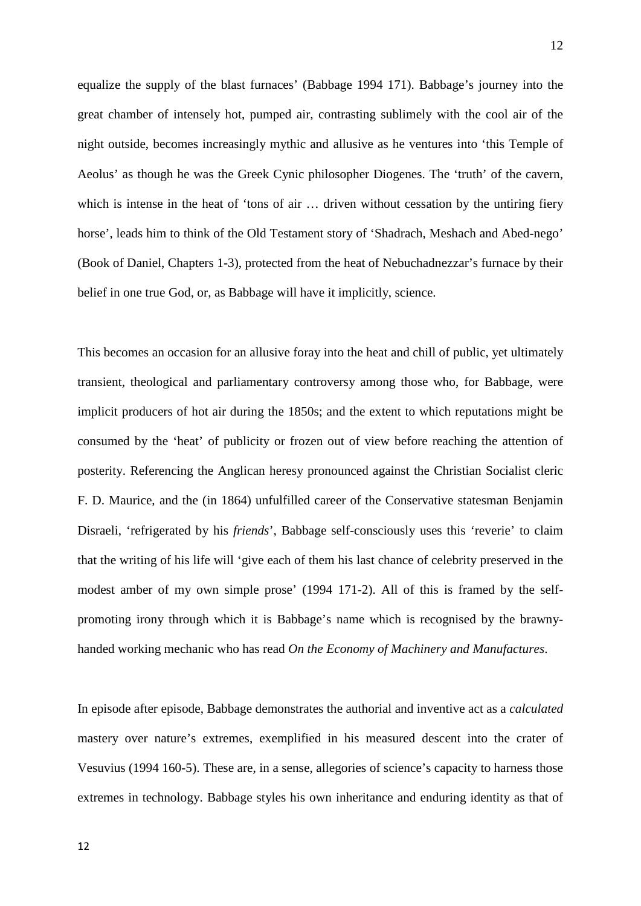equalize the supply of the blast furnaces' (Babbage 1994 171). Babbage's journey into the great chamber of intensely hot, pumped air, contrasting sublimely with the cool air of the night outside, becomes increasingly mythic and allusive as he ventures into 'this Temple of Aeolus' as though he was the Greek Cynic philosopher Diogenes. The 'truth' of the cavern, which is intense in the heat of 'tons of air ... driven without cessation by the untiring fiery horse', leads him to think of the Old Testament story of 'Shadrach, Meshach and Abed-nego' (Book of Daniel, Chapters 1-3), protected from the heat of Nebuchadnezzar's furnace by their belief in one true God, or, as Babbage will have it implicitly, science.

This becomes an occasion for an allusive foray into the heat and chill of public, yet ultimately transient, theological and parliamentary controversy among those who, for Babbage, were implicit producers of hot air during the 1850s; and the extent to which reputations might be consumed by the 'heat' of publicity or frozen out of view before reaching the attention of posterity. Referencing the Anglican heresy pronounced against the Christian Socialist cleric F. D. Maurice, and the (in 1864) unfulfilled career of the Conservative statesman Benjamin Disraeli, 'refrigerated by his *friends*', Babbage self-consciously uses this 'reverie' to claim that the writing of his life will 'give each of them his last chance of celebrity preserved in the modest amber of my own simple prose' (1994 171-2). All of this is framed by the selfpromoting irony through which it is Babbage's name which is recognised by the brawnyhanded working mechanic who has read *On the Economy of Machinery and Manufactures*.

In episode after episode, Babbage demonstrates the authorial and inventive act as a *calculated* mastery over nature's extremes, exemplified in his measured descent into the crater of Vesuvius (1994 160-5). These are, in a sense, allegories of science's capacity to harness those extremes in technology. Babbage styles his own inheritance and enduring identity as that of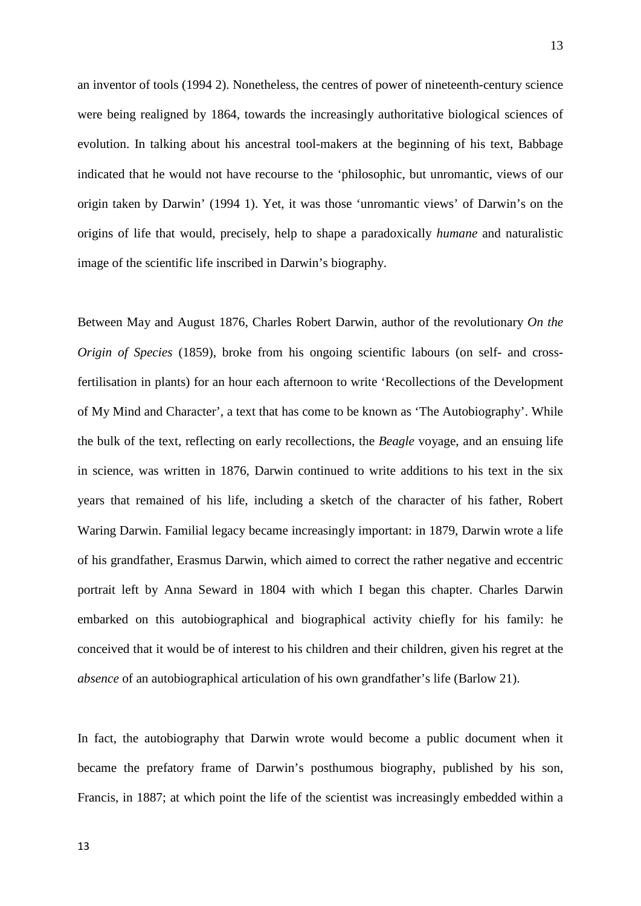an inventor of tools (1994 2). Nonetheless, the centres of power of nineteenth-century science were being realigned by 1864, towards the increasingly authoritative biological sciences of evolution. In talking about his ancestral tool-makers at the beginning of his text, Babbage indicated that he would not have recourse to the 'philosophic, but unromantic, views of our origin taken by Darwin' (1994 1). Yet, it was those 'unromantic views' of Darwin's on the origins of life that would, precisely, help to shape a paradoxically *humane* and naturalistic image of the scientific life inscribed in Darwin's biography.

Between May and August 1876, Charles Robert Darwin, author of the revolutionary *On the Origin of Species* (1859), broke from his ongoing scientific labours (on self- and crossfertilisation in plants) for an hour each afternoon to write 'Recollections of the Development of My Mind and Character', a text that has come to be known as 'The Autobiography'. While the bulk of the text, reflecting on early recollections, the *Beagle* voyage, and an ensuing life in science, was written in 1876, Darwin continued to write additions to his text in the six years that remained of his life, including a sketch of the character of his father, Robert Waring Darwin. Familial legacy became increasingly important: in 1879, Darwin wrote a life of his grandfather, Erasmus Darwin, which aimed to correct the rather negative and eccentric portrait left by Anna Seward in 1804 with which I began this chapter. Charles Darwin embarked on this autobiographical and biographical activity chiefly for his family: he conceived that it would be of interest to his children and their children, given his regret at the *absence* of an autobiographical articulation of his own grandfather's life (Barlow 21).

In fact, the autobiography that Darwin wrote would become a public document when it became the prefatory frame of Darwin's posthumous biography, published by his son, Francis, in 1887; at which point the life of the scientist was increasingly embedded within a

13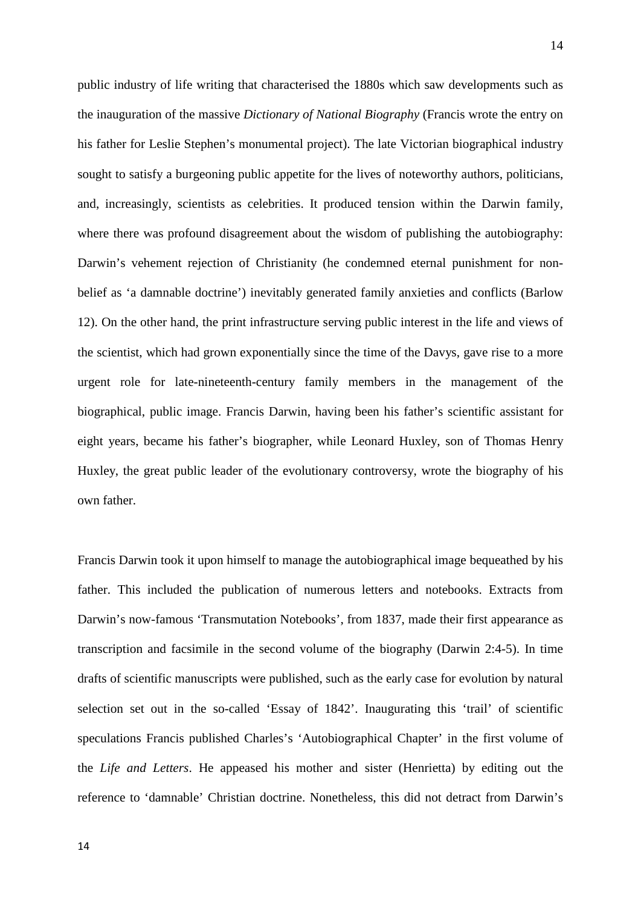public industry of life writing that characterised the 1880s which saw developments such as the inauguration of the massive *Dictionary of National Biography* (Francis wrote the entry on his father for Leslie Stephen's monumental project). The late Victorian biographical industry sought to satisfy a burgeoning public appetite for the lives of noteworthy authors, politicians, and, increasingly, scientists as celebrities. It produced tension within the Darwin family, where there was profound disagreement about the wisdom of publishing the autobiography: Darwin's vehement rejection of Christianity (he condemned eternal punishment for nonbelief as 'a damnable doctrine') inevitably generated family anxieties and conflicts (Barlow 12). On the other hand, the print infrastructure serving public interest in the life and views of the scientist, which had grown exponentially since the time of the Davys, gave rise to a more urgent role for late-nineteenth-century family members in the management of the biographical, public image. Francis Darwin, having been his father's scientific assistant for eight years, became his father's biographer, while Leonard Huxley, son of Thomas Henry Huxley, the great public leader of the evolutionary controversy, wrote the biography of his own father.

Francis Darwin took it upon himself to manage the autobiographical image bequeathed by his father. This included the publication of numerous letters and notebooks. Extracts from Darwin's now-famous 'Transmutation Notebooks', from 1837, made their first appearance as transcription and facsimile in the second volume of the biography (Darwin 2:4-5). In time drafts of scientific manuscripts were published, such as the early case for evolution by natural selection set out in the so-called 'Essay of 1842'. Inaugurating this 'trail' of scientific speculations Francis published Charles's 'Autobiographical Chapter' in the first volume of the *Life and Letters*. He appeased his mother and sister (Henrietta) by editing out the reference to 'damnable' Christian doctrine. Nonetheless, this did not detract from Darwin's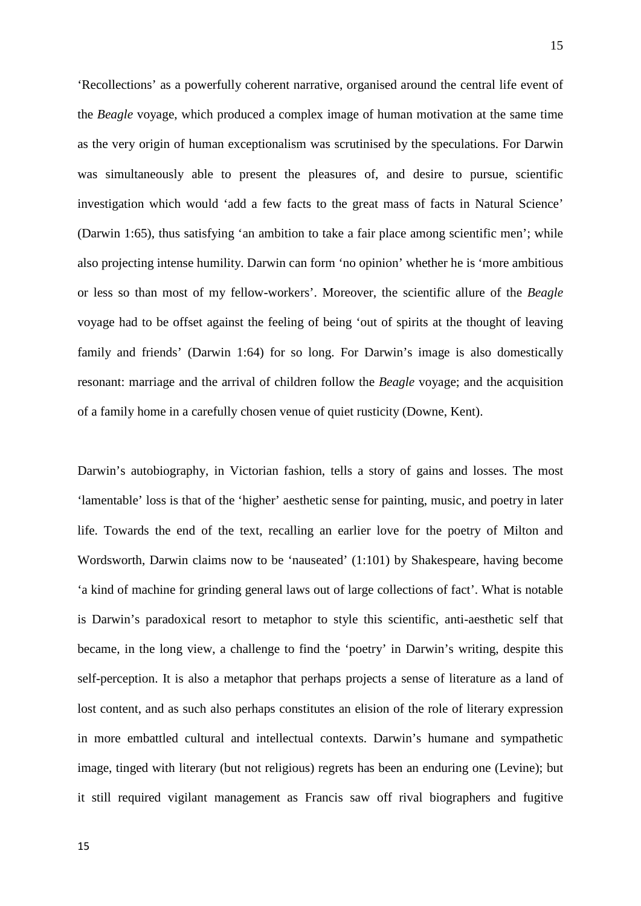'Recollections' as a powerfully coherent narrative, organised around the central life event of the *Beagle* voyage, which produced a complex image of human motivation at the same time as the very origin of human exceptionalism was scrutinised by the speculations. For Darwin was simultaneously able to present the pleasures of, and desire to pursue, scientific investigation which would 'add a few facts to the great mass of facts in Natural Science' (Darwin 1:65), thus satisfying 'an ambition to take a fair place among scientific men'; while also projecting intense humility. Darwin can form 'no opinion' whether he is 'more ambitious or less so than most of my fellow-workers'. Moreover, the scientific allure of the *Beagle* voyage had to be offset against the feeling of being 'out of spirits at the thought of leaving family and friends' (Darwin 1:64) for so long. For Darwin's image is also domestically resonant: marriage and the arrival of children follow the *Beagle* voyage; and the acquisition of a family home in a carefully chosen venue of quiet rusticity (Downe, Kent).

Darwin's autobiography, in Victorian fashion, tells a story of gains and losses. The most 'lamentable' loss is that of the 'higher' aesthetic sense for painting, music, and poetry in later life. Towards the end of the text, recalling an earlier love for the poetry of Milton and Wordsworth, Darwin claims now to be 'nauseated' (1:101) by Shakespeare, having become 'a kind of machine for grinding general laws out of large collections of fact'. What is notable is Darwin's paradoxical resort to metaphor to style this scientific, anti-aesthetic self that became, in the long view, a challenge to find the 'poetry' in Darwin's writing, despite this self-perception. It is also a metaphor that perhaps projects a sense of literature as a land of lost content, and as such also perhaps constitutes an elision of the role of literary expression in more embattled cultural and intellectual contexts. Darwin's humane and sympathetic image, tinged with literary (but not religious) regrets has been an enduring one (Levine); but it still required vigilant management as Francis saw off rival biographers and fugitive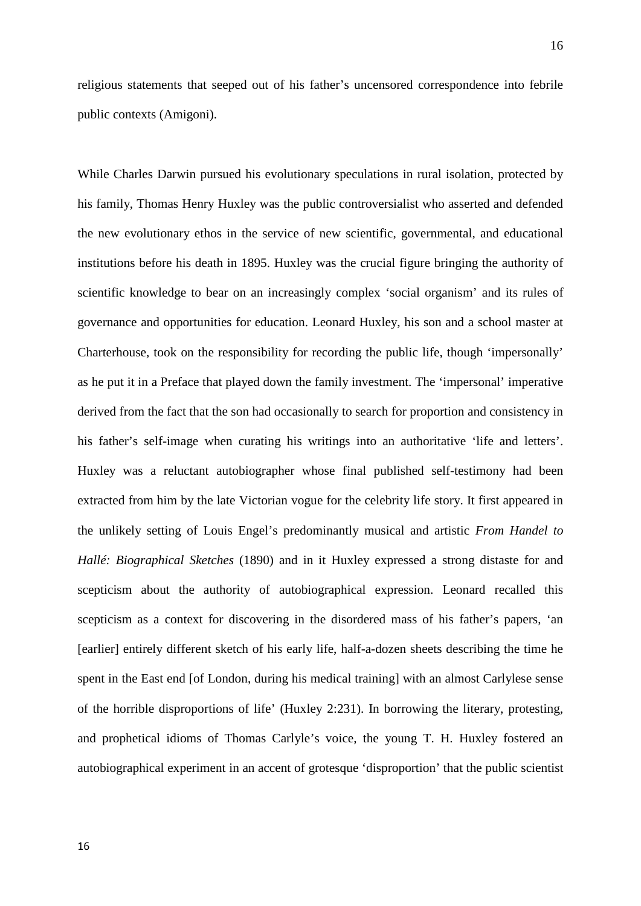religious statements that seeped out of his father's uncensored correspondence into febrile public contexts (Amigoni).

While Charles Darwin pursued his evolutionary speculations in rural isolation, protected by his family, Thomas Henry Huxley was the public controversialist who asserted and defended the new evolutionary ethos in the service of new scientific, governmental, and educational institutions before his death in 1895. Huxley was the crucial figure bringing the authority of scientific knowledge to bear on an increasingly complex 'social organism' and its rules of governance and opportunities for education. Leonard Huxley, his son and a school master at Charterhouse, took on the responsibility for recording the public life, though 'impersonally' as he put it in a Preface that played down the family investment. The 'impersonal' imperative derived from the fact that the son had occasionally to search for proportion and consistency in his father's self-image when curating his writings into an authoritative 'life and letters'. Huxley was a reluctant autobiographer whose final published self-testimony had been extracted from him by the late Victorian vogue for the celebrity life story. It first appeared in the unlikely setting of Louis Engel's predominantly musical and artistic *From Handel to Hallé: Biographical Sketches* (1890) and in it Huxley expressed a strong distaste for and scepticism about the authority of autobiographical expression. Leonard recalled this scepticism as a context for discovering in the disordered mass of his father's papers, 'an [earlier] entirely different sketch of his early life, half-a-dozen sheets describing the time he spent in the East end [of London, during his medical training] with an almost Carlylese sense of the horrible disproportions of life' (Huxley 2:231). In borrowing the literary, protesting, and prophetical idioms of Thomas Carlyle's voice, the young T. H. Huxley fostered an autobiographical experiment in an accent of grotesque 'disproportion' that the public scientist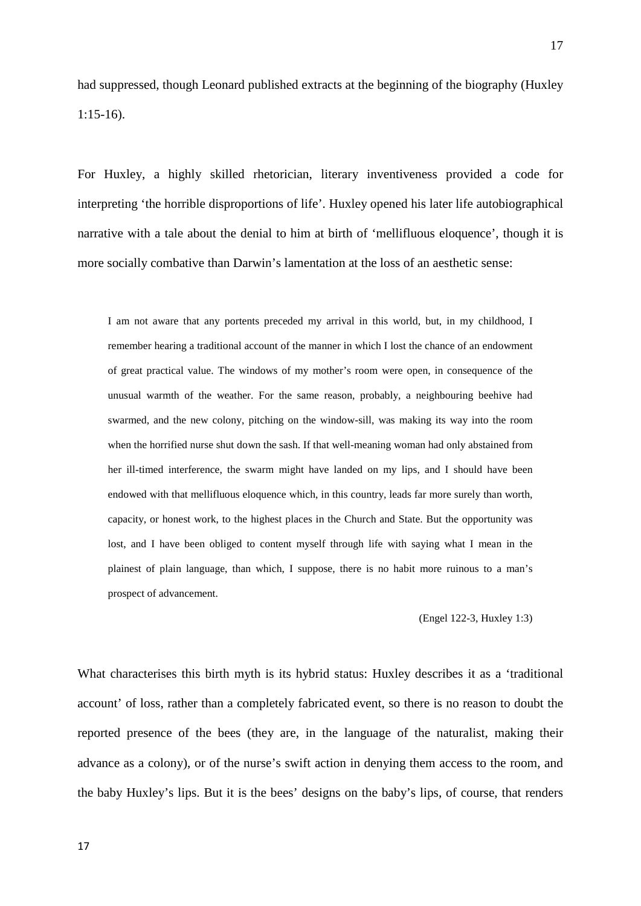had suppressed, though Leonard published extracts at the beginning of the biography (Huxley 1:15-16).

For Huxley, a highly skilled rhetorician, literary inventiveness provided a code for interpreting 'the horrible disproportions of life'. Huxley opened his later life autobiographical narrative with a tale about the denial to him at birth of 'mellifluous eloquence', though it is more socially combative than Darwin's lamentation at the loss of an aesthetic sense:

I am not aware that any portents preceded my arrival in this world, but, in my childhood, I remember hearing a traditional account of the manner in which I lost the chance of an endowment of great practical value. The windows of my mother's room were open, in consequence of the unusual warmth of the weather. For the same reason, probably, a neighbouring beehive had swarmed, and the new colony, pitching on the window-sill, was making its way into the room when the horrified nurse shut down the sash. If that well-meaning woman had only abstained from her ill-timed interference, the swarm might have landed on my lips, and I should have been endowed with that mellifluous eloquence which, in this country, leads far more surely than worth, capacity, or honest work, to the highest places in the Church and State. But the opportunity was lost, and I have been obliged to content myself through life with saying what I mean in the plainest of plain language, than which, I suppose, there is no habit more ruinous to a man's prospect of advancement.

(Engel 122-3, Huxley 1:3)

What characterises this birth myth is its hybrid status: Huxley describes it as a 'traditional account' of loss, rather than a completely fabricated event, so there is no reason to doubt the reported presence of the bees (they are, in the language of the naturalist, making their advance as a colony), or of the nurse's swift action in denying them access to the room, and the baby Huxley's lips. But it is the bees' designs on the baby's lips, of course, that renders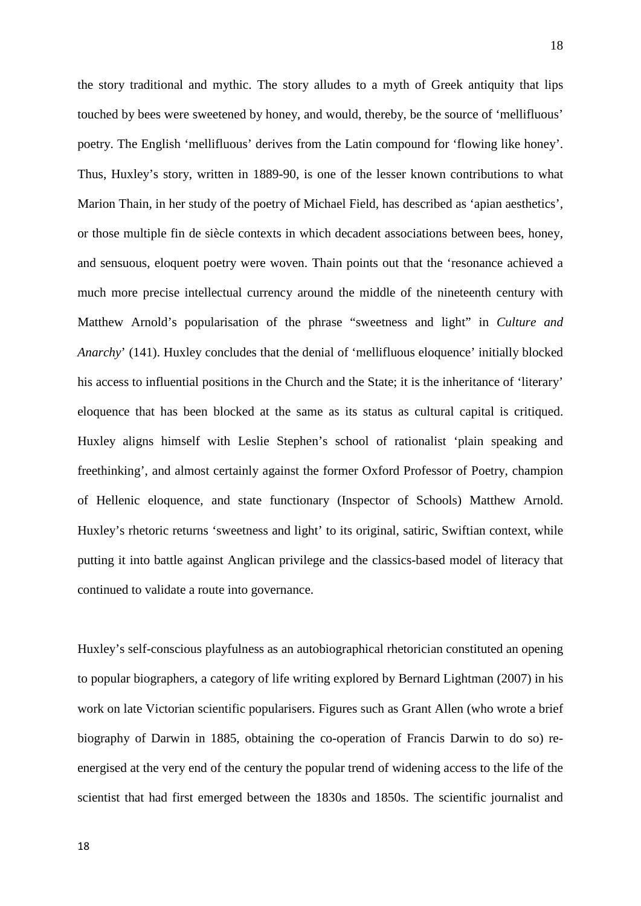the story traditional and mythic. The story alludes to a myth of Greek antiquity that lips touched by bees were sweetened by honey, and would, thereby, be the source of 'mellifluous' poetry. The English 'mellifluous' derives from the Latin compound for 'flowing like honey'. Thus, Huxley's story, written in 1889-90, is one of the lesser known contributions to what Marion Thain, in her study of the poetry of Michael Field, has described as 'apian aesthetics', or those multiple fin de siècle contexts in which decadent associations between bees, honey, and sensuous, eloquent poetry were woven. Thain points out that the 'resonance achieved a much more precise intellectual currency around the middle of the nineteenth century with Matthew Arnold's popularisation of the phrase "sweetness and light" in *Culture and Anarchy*' (141). Huxley concludes that the denial of 'mellifluous eloquence' initially blocked his access to influential positions in the Church and the State; it is the inheritance of 'literary' eloquence that has been blocked at the same as its status as cultural capital is critiqued. Huxley aligns himself with Leslie Stephen's school of rationalist 'plain speaking and freethinking', and almost certainly against the former Oxford Professor of Poetry, champion of Hellenic eloquence, and state functionary (Inspector of Schools) Matthew Arnold. Huxley's rhetoric returns 'sweetness and light' to its original, satiric, Swiftian context, while putting it into battle against Anglican privilege and the classics-based model of literacy that continued to validate a route into governance.

Huxley's self-conscious playfulness as an autobiographical rhetorician constituted an opening to popular biographers, a category of life writing explored by Bernard Lightman (2007) in his work on late Victorian scientific popularisers. Figures such as Grant Allen (who wrote a brief biography of Darwin in 1885, obtaining the co-operation of Francis Darwin to do so) reenergised at the very end of the century the popular trend of widening access to the life of the scientist that had first emerged between the 1830s and 1850s. The scientific journalist and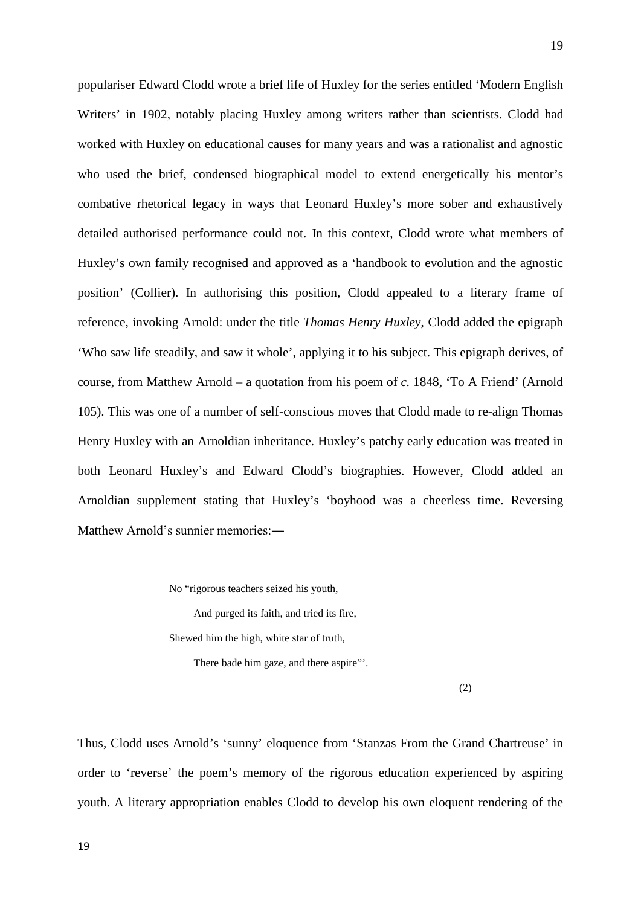populariser Edward Clodd wrote a brief life of Huxley for the series entitled 'Modern English Writers' in 1902, notably placing Huxley among writers rather than scientists. Clodd had worked with Huxley on educational causes for many years and was a rationalist and agnostic who used the brief, condensed biographical model to extend energetically his mentor's combative rhetorical legacy in ways that Leonard Huxley's more sober and exhaustively detailed authorised performance could not. In this context, Clodd wrote what members of Huxley's own family recognised and approved as a 'handbook to evolution and the agnostic position' (Collier). In authorising this position, Clodd appealed to a literary frame of reference, invoking Arnold: under the title *Thomas Henry Huxley*, Clodd added the epigraph 'Who saw life steadily, and saw it whole', applying it to his subject. This epigraph derives, of course, from Matthew Arnold – a quotation from his poem of *c.* 1848, 'To A Friend' (Arnold 105). This was one of a number of self-conscious moves that Clodd made to re-align Thomas Henry Huxley with an Arnoldian inheritance. Huxley's patchy early education was treated in both Leonard Huxley's and Edward Clodd's biographies. However, Clodd added an Arnoldian supplement stating that Huxley's 'boyhood was a cheerless time. Reversing Matthew Arnold's sunnier memories:―

No "rigorous teachers seized his youth,

And purged its faith, and tried its fire,

Shewed him the high, white star of truth,

There bade him gaze, and there aspire"'.

(2)

Thus, Clodd uses Arnold's 'sunny' eloquence from 'Stanzas From the Grand Chartreuse' in order to 'reverse' the poem's memory of the rigorous education experienced by aspiring youth. A literary appropriation enables Clodd to develop his own eloquent rendering of the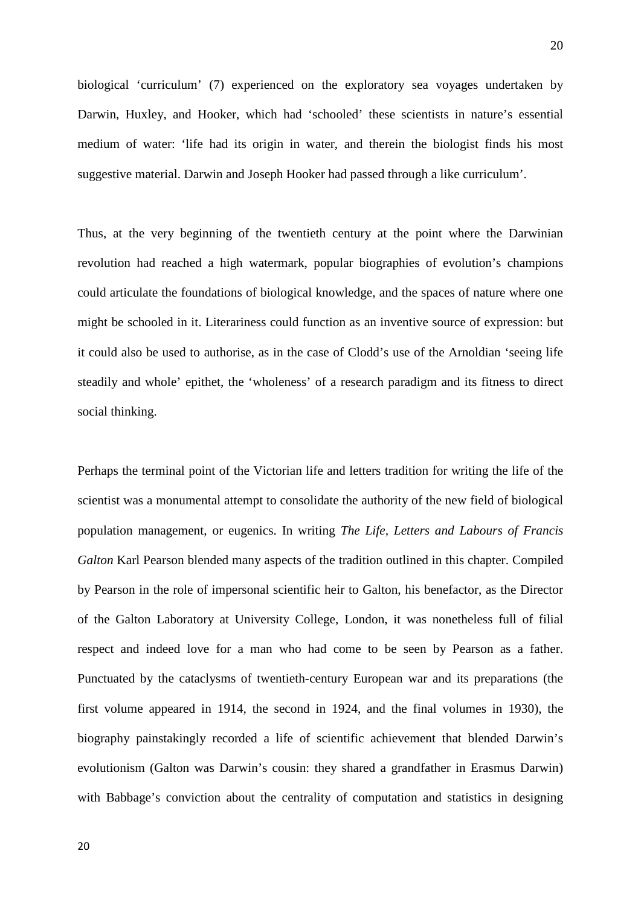biological 'curriculum' (7) experienced on the exploratory sea voyages undertaken by Darwin, Huxley, and Hooker, which had 'schooled' these scientists in nature's essential medium of water: 'life had its origin in water, and therein the biologist finds his most suggestive material. Darwin and Joseph Hooker had passed through a like curriculum'.

Thus, at the very beginning of the twentieth century at the point where the Darwinian revolution had reached a high watermark, popular biographies of evolution's champions could articulate the foundations of biological knowledge, and the spaces of nature where one might be schooled in it. Literariness could function as an inventive source of expression: but it could also be used to authorise, as in the case of Clodd's use of the Arnoldian 'seeing life steadily and whole' epithet, the 'wholeness' of a research paradigm and its fitness to direct social thinking.

Perhaps the terminal point of the Victorian life and letters tradition for writing the life of the scientist was a monumental attempt to consolidate the authority of the new field of biological population management, or eugenics. In writing *The Life, Letters and Labours of Francis Galton* Karl Pearson blended many aspects of the tradition outlined in this chapter. Compiled by Pearson in the role of impersonal scientific heir to Galton, his benefactor, as the Director of the Galton Laboratory at University College, London, it was nonetheless full of filial respect and indeed love for a man who had come to be seen by Pearson as a father. Punctuated by the cataclysms of twentieth-century European war and its preparations (the first volume appeared in 1914, the second in 1924, and the final volumes in 1930), the biography painstakingly recorded a life of scientific achievement that blended Darwin's evolutionism (Galton was Darwin's cousin: they shared a grandfather in Erasmus Darwin) with Babbage's conviction about the centrality of computation and statistics in designing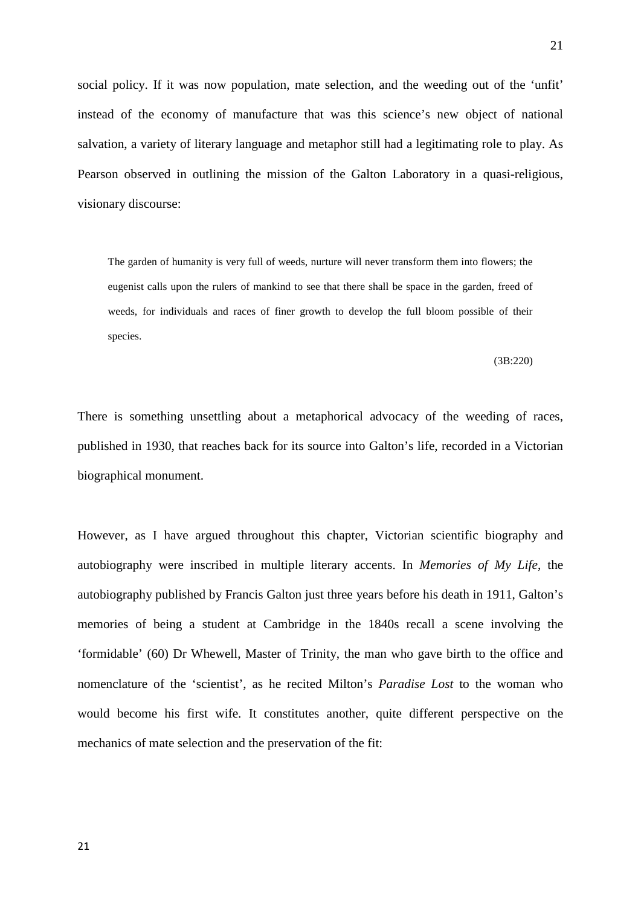social policy. If it was now population, mate selection, and the weeding out of the 'unfit' instead of the economy of manufacture that was this science's new object of national salvation, a variety of literary language and metaphor still had a legitimating role to play. As Pearson observed in outlining the mission of the Galton Laboratory in a quasi-religious, visionary discourse:

The garden of humanity is very full of weeds, nurture will never transform them into flowers; the eugenist calls upon the rulers of mankind to see that there shall be space in the garden, freed of weeds, for individuals and races of finer growth to develop the full bloom possible of their species.

(3B:220)

There is something unsettling about a metaphorical advocacy of the weeding of races, published in 1930, that reaches back for its source into Galton's life, recorded in a Victorian biographical monument.

However, as I have argued throughout this chapter, Victorian scientific biography and autobiography were inscribed in multiple literary accents. In *Memories of My Life*, the autobiography published by Francis Galton just three years before his death in 1911, Galton's memories of being a student at Cambridge in the 1840s recall a scene involving the 'formidable' (60) Dr Whewell, Master of Trinity, the man who gave birth to the office and nomenclature of the 'scientist', as he recited Milton's *Paradise Lost* to the woman who would become his first wife. It constitutes another, quite different perspective on the mechanics of mate selection and the preservation of the fit:

21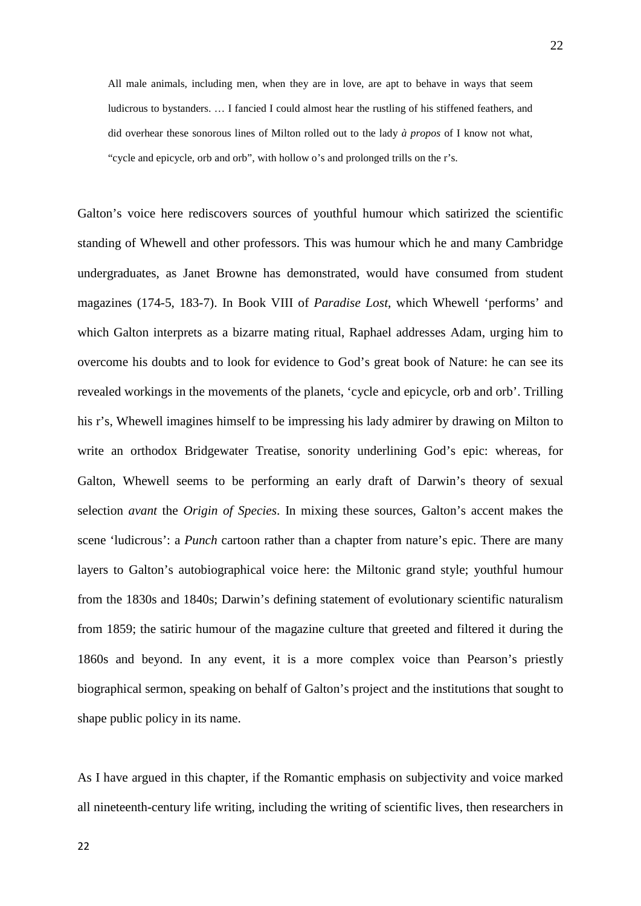All male animals, including men, when they are in love, are apt to behave in ways that seem ludicrous to bystanders. … I fancied I could almost hear the rustling of his stiffened feathers, and did overhear these sonorous lines of Milton rolled out to the lady *à propos* of I know not what, "cycle and epicycle, orb and orb", with hollow o's and prolonged trills on the r's.

Galton's voice here rediscovers sources of youthful humour which satirized the scientific standing of Whewell and other professors. This was humour which he and many Cambridge undergraduates, as Janet Browne has demonstrated, would have consumed from student magazines (174-5, 183-7). In Book VIII of *Paradise Lost*, which Whewell 'performs' and which Galton interprets as a bizarre mating ritual, Raphael addresses Adam, urging him to overcome his doubts and to look for evidence to God's great book of Nature: he can see its revealed workings in the movements of the planets, 'cycle and epicycle, orb and orb'. Trilling his r's, Whewell imagines himself to be impressing his lady admirer by drawing on Milton to write an orthodox Bridgewater Treatise, sonority underlining God's epic: whereas, for Galton, Whewell seems to be performing an early draft of Darwin's theory of sexual selection *avant* the *Origin of Species*. In mixing these sources, Galton's accent makes the scene 'ludicrous': a *Punch* cartoon rather than a chapter from nature's epic. There are many layers to Galton's autobiographical voice here: the Miltonic grand style; youthful humour from the 1830s and 1840s; Darwin's defining statement of evolutionary scientific naturalism from 1859; the satiric humour of the magazine culture that greeted and filtered it during the 1860s and beyond. In any event, it is a more complex voice than Pearson's priestly biographical sermon, speaking on behalf of Galton's project and the institutions that sought to shape public policy in its name.

As I have argued in this chapter, if the Romantic emphasis on subjectivity and voice marked all nineteenth-century life writing, including the writing of scientific lives, then researchers in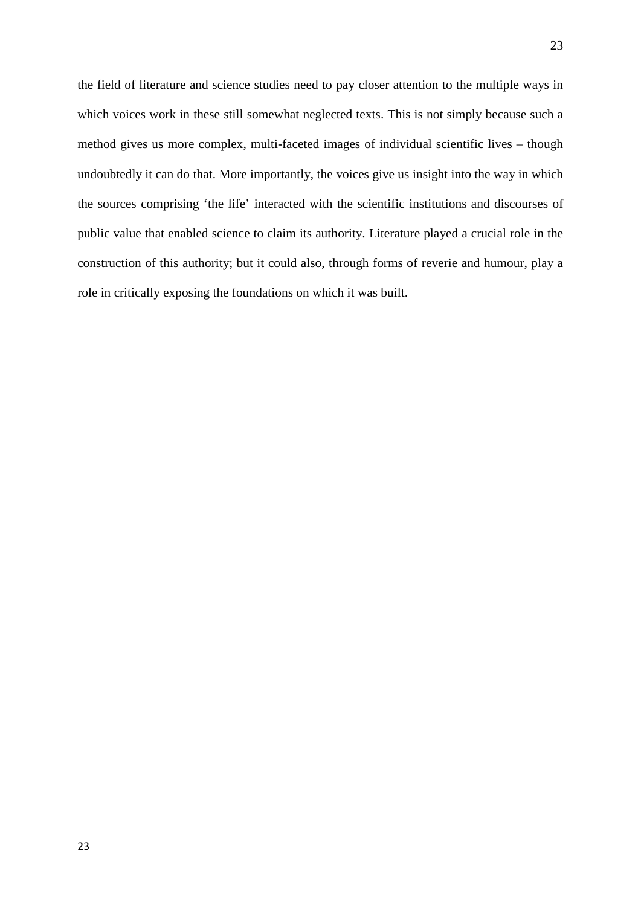the field of literature and science studies need to pay closer attention to the multiple ways in which voices work in these still somewhat neglected texts. This is not simply because such a method gives us more complex, multi-faceted images of individual scientific lives – though undoubtedly it can do that. More importantly, the voices give us insight into the way in which the sources comprising 'the life' interacted with the scientific institutions and discourses of public value that enabled science to claim its authority. Literature played a crucial role in the construction of this authority; but it could also, through forms of reverie and humour, play a role in critically exposing the foundations on which it was built.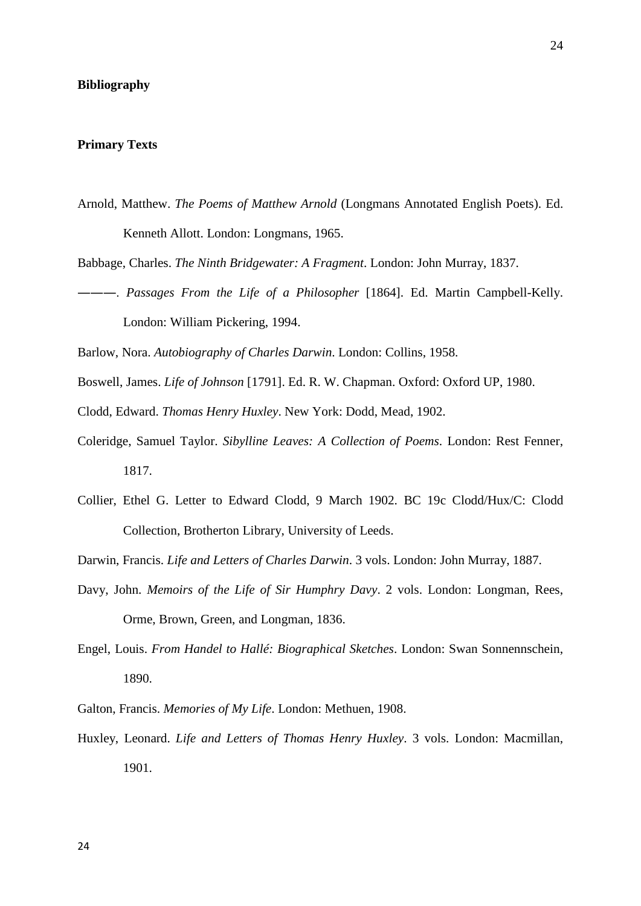#### **Bibliography**

## **Primary Texts**

- Arnold, Matthew. *The Poems of Matthew Arnold* (Longmans Annotated English Poets). Ed. Kenneth Allott. London: Longmans, 1965.
- Babbage, Charles. *The Ninth Bridgewater: A Fragment*. London: John Murray, 1837.
- ―――. *Passages From the Life of a Philosopher* [1864]. Ed. Martin Campbell-Kelly. London: William Pickering, 1994.

Barlow, Nora. *Autobiography of Charles Darwin*. London: Collins, 1958.

- Boswell, James. *Life of Johnson* [1791]. Ed. R. W. Chapman. Oxford: Oxford UP, 1980.
- Clodd, Edward. *Thomas Henry Huxley*. New York: Dodd, Mead, 1902.
- Coleridge, Samuel Taylor. *Sibylline Leaves: A Collection of Poems*. London: Rest Fenner, 1817.
- Collier, Ethel G. Letter to Edward Clodd, 9 March 1902. BC 19c Clodd/Hux/C: Clodd Collection, Brotherton Library, University of Leeds.

Darwin, Francis. *Life and Letters of Charles Darwin*. 3 vols. London: John Murray, 1887.

- Davy, John. *Memoirs of the Life of Sir Humphry Davy*. 2 vols. London: Longman, Rees, Orme, Brown, Green, and Longman, 1836.
- Engel, Louis. *From Handel to Hallé: Biographical Sketches*. London: Swan Sonnennschein, 1890.

Galton, Francis. *Memories of My Life*. London: Methuen, 1908.

Huxley, Leonard. *Life and Letters of Thomas Henry Huxley*. 3 vols. London: Macmillan, 1901.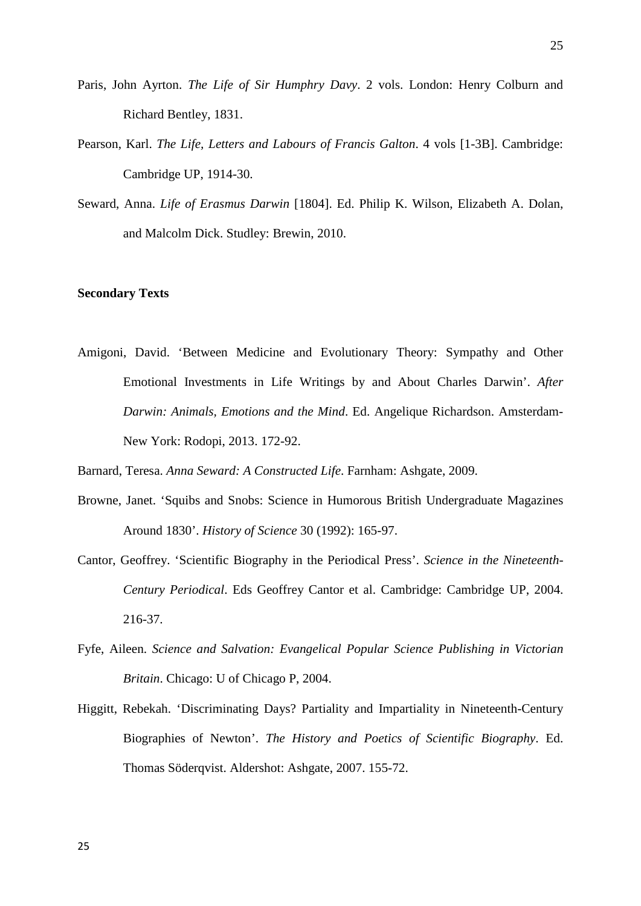- Paris, John Ayrton. *The Life of Sir Humphry Davy*. 2 vols. London: Henry Colburn and Richard Bentley, 1831.
- Pearson, Karl. *The Life, Letters and Labours of Francis Galton*. 4 vols [1-3B]. Cambridge: Cambridge UP, 1914-30.
- Seward, Anna. *Life of Erasmus Darwin* [1804]. Ed. Philip K. Wilson, Elizabeth A. Dolan, and Malcolm Dick. Studley: Brewin, 2010.

## **Secondary Texts**

Amigoni, David. 'Between Medicine and Evolutionary Theory: Sympathy and Other Emotional Investments in Life Writings by and About Charles Darwin'. *After Darwin: Animals, Emotions and the Mind*. Ed. Angelique Richardson. Amsterdam-New York: Rodopi, 2013. 172-92.

Barnard, Teresa. *Anna Seward: A Constructed Life*. Farnham: Ashgate, 2009.

- Browne, Janet. 'Squibs and Snobs: Science in Humorous British Undergraduate Magazines Around 1830'. *History of Science* 30 (1992): 165-97.
- Cantor, Geoffrey. 'Scientific Biography in the Periodical Press'. *Science in the Nineteenth-Century Periodical*. Eds Geoffrey Cantor et al. Cambridge: Cambridge UP, 2004. 216-37.
- Fyfe, Aileen. *Science and Salvation: Evangelical Popular Science Publishing in Victorian Britain*. Chicago: U of Chicago P, 2004.
- Higgitt, Rebekah. 'Discriminating Days? Partiality and Impartiality in Nineteenth-Century Biographies of Newton'. *The History and Poetics of Scientific Biography*. Ed. Thomas Söderqvist. Aldershot: Ashgate, 2007. 155-72.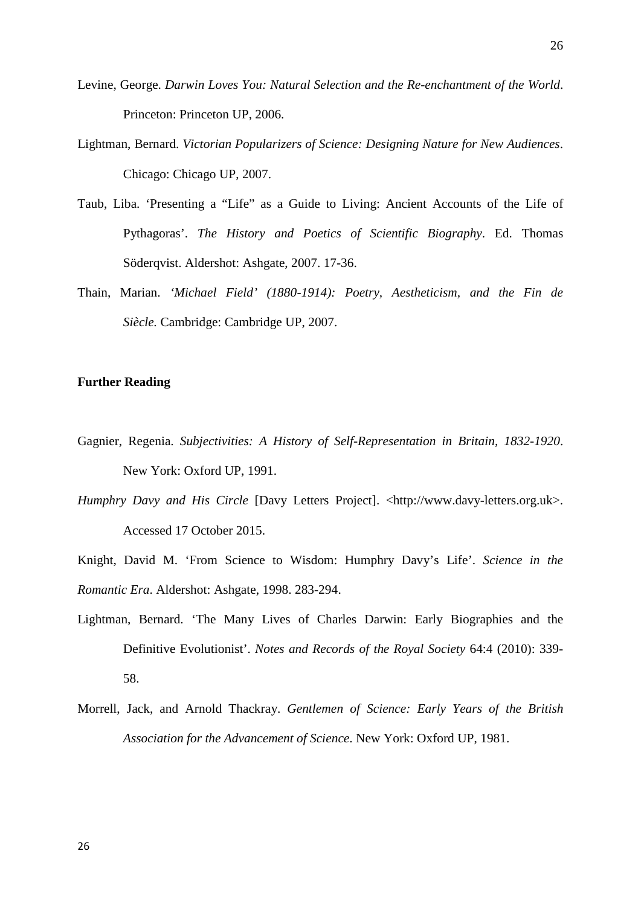- Levine, George. *Darwin Loves You: Natural Selection and the Re-enchantment of the World*. Princeton: Princeton UP, 2006.
- Lightman, Bernard. *Victorian Popularizers of Science: Designing Nature for New Audiences*. Chicago: Chicago UP, 2007.
- Taub, Liba. 'Presenting a "Life" as a Guide to Living: Ancient Accounts of the Life of Pythagoras'. *The History and Poetics of Scientific Biography*. Ed. Thomas Söderqvist. Aldershot: Ashgate, 2007. 17-36.
- Thain, Marian. *'Michael Field' (1880-1914): Poetry, Aestheticism, and the Fin de Siècle.* Cambridge: Cambridge UP, 2007.

# **Further Reading**

- Gagnier, Regenia. *Subjectivities: A History of Self-Representation in Britain, 1832-1920*. New York: Oxford UP, 1991.
- *Humphry Davy and His Circle* [Davy Letters Project]. <http://www.davy-letters.org.uk>. Accessed 17 October 2015.
- Knight, David M. 'From Science to Wisdom: Humphry Davy's Life'. *Science in the Romantic Era*. Aldershot: Ashgate, 1998. 283-294.
- Lightman, Bernard. 'The Many Lives of Charles Darwin: Early Biographies and the Definitive Evolutionist'. *Notes and Records of the Royal Society* 64:4 (2010): 339- 58.
- Morrell, Jack, and Arnold Thackray. *Gentlemen of Science: Early Years of the British Association for the Advancement of Science*. New York: Oxford UP, 1981.